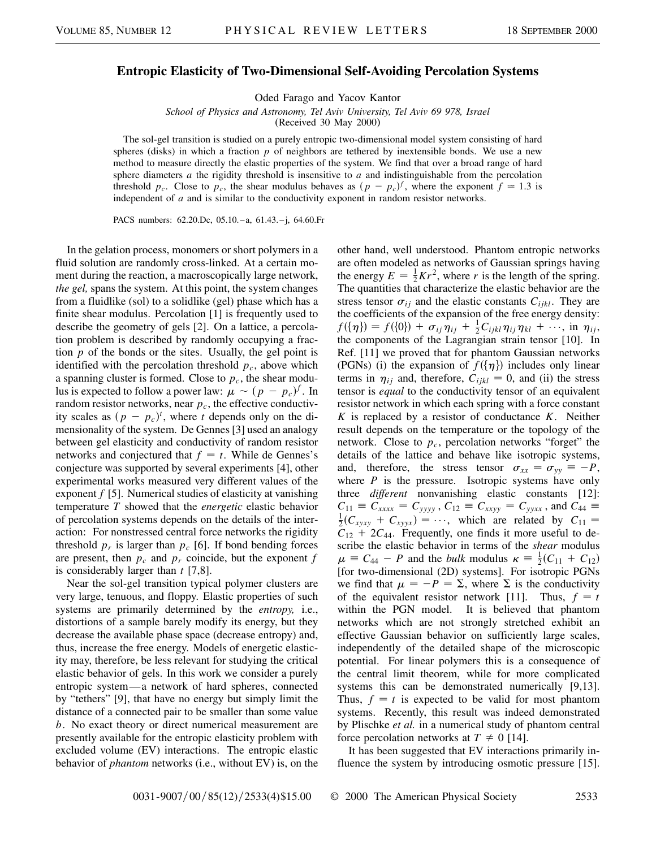## **Entropic Elasticity of Two-Dimensional Self-Avoiding Percolation Systems**

Oded Farago and Yacov Kantor

*School of Physics and Astronomy, Tel Aviv University, Tel Aviv 69 978, Israel*

(Received 30 May 2000)

The sol-gel transition is studied on a purely entropic two-dimensional model system consisting of hard spheres (disks) in which a fraction *p* of neighbors are tethered by inextensible bonds. We use a new method to measure directly the elastic properties of the system. We find that over a broad range of hard sphere diameters *a* the rigidity threshold is insensitive to *a* and indistinguishable from the percolation threshold  $p_c$ . Close to  $p_c$ , the shear modulus behaves as  $(p - p_c)^f$ , where the exponent  $f \approx 1.3$  is independent of *a* and is similar to the conductivity exponent in random resistor networks.

PACS numbers: 62.20.Dc, 05.10.–a, 61.43.–j, 64.60.Fr

In the gelation process, monomers or short polymers in a fluid solution are randomly cross-linked. At a certain moment during the reaction, a macroscopically large network, *the gel,* spans the system. At this point, the system changes from a fluidlike (sol) to a solidlike (gel) phase which has a finite shear modulus. Percolation [1] is frequently used to describe the geometry of gels [2]. On a lattice, a percolation problem is described by randomly occupying a fraction *p* of the bonds or the sites. Usually, the gel point is identified with the percolation threshold  $p_c$ , above which a spanning cluster is formed. Close to  $p_c$ , the shear modulus is expected to follow a power law:  $\mu \sim (p - p_c)^f$ . In random resistor networks, near  $p_c$ , the effective conductivity scales as  $(p - p_c)^t$ , where *t* depends only on the dimensionality of the system. De Gennes [3] used an analogy between gel elasticity and conductivity of random resistor networks and conjectured that  $f = t$ . While de Gennes's conjecture was supported by several experiments [4], other experimental works measured very different values of the exponent *f* [5]. Numerical studies of elasticity at vanishing temperature *T* showed that the *energetic* elastic behavior of percolation systems depends on the details of the interaction: For nonstressed central force networks the rigidity threshold  $p_r$  is larger than  $p_c$  [6]. If bond bending forces are present, then  $p_c$  and  $p_r$  coincide, but the exponent  $f$ is considerably larger than *t* [7,8].

Near the sol-gel transition typical polymer clusters are very large, tenuous, and floppy. Elastic properties of such systems are primarily determined by the *entropy,* i.e., distortions of a sample barely modify its energy, but they decrease the available phase space (decrease entropy) and, thus, increase the free energy. Models of energetic elasticity may, therefore, be less relevant for studying the critical elastic behavior of gels. In this work we consider a purely entropic system—a network of hard spheres, connected by "tethers" [9], that have no energy but simply limit the distance of a connected pair to be smaller than some value *b*. No exact theory or direct numerical measurement are presently available for the entropic elasticity problem with excluded volume (EV) interactions. The entropic elastic behavior of *phantom* networks (i.e., without EV) is, on the other hand, well understood. Phantom entropic networks are often modeled as networks of Gaussian springs having the energy  $E = \frac{1}{2}Kr^2$ , where *r* is the length of the spring. The quantities that characterize the elastic behavior are the stress tensor  $\sigma_{ij}$  and the elastic constants  $C_{ijkl}$ . They are the coefficients of the expansion of the free energy density:  $f(\{\eta\}) = f(\{0\}) + \sigma_{ij}\eta_{ij} + \frac{1}{2}C_{ijkl}\eta_{ij}\eta_{kl} + \cdots$ , in  $\eta_{ij}$ , the components of the Lagrangian strain tensor [10]. In Ref. [11] we proved that for phantom Gaussian networks (PGNs) (i) the expansion of  $f(\{\eta\})$  includes only linear terms in  $\eta_{ij}$  and, therefore,  $C_{ijkl} = 0$ , and (ii) the stress tensor is *equal* to the conductivity tensor of an equivalent resistor network in which each spring with a force constant *K* is replaced by a resistor of conductance *K*. Neither result depends on the temperature or the topology of the network. Close to  $p_c$ , percolation networks "forget" the details of the lattice and behave like isotropic systems, and, therefore, the stress tensor  $\sigma_{xx} = \sigma_{yy} \equiv -P$ , where  $P$  is the pressure. Isotropic systems have only three *different* nonvanishing elastic constants [12]:  $C_{11} \equiv C_{xxxx} = C_{yyyy}$ ,  $C_{12} \equiv C_{xxyy} = C_{yyxx}$ , and  $C_{44} \equiv C_{xyxx}$  $\frac{1}{2}(C_{xyxy} + C_{xyyx}) = \cdots$ , which are related by  $C_{11} =$  $C_{12} + 2C_{44}$ . Frequently, one finds it more useful to describe the elastic behavior in terms of the *shear* modulus  $\mu \equiv C_{44} - P$  and the *bulk* modulus  $\kappa \equiv \frac{1}{2}(C_{11} + C_{12})$ [for two-dimensional (2D) systems]. For isotropic PGNs we find that  $\mu = -P = \Sigma$ , where  $\Sigma$  is the conductivity of the equivalent resistor network [11]. Thus,  $f = t$ within the PGN model. It is believed that phantom networks which are not strongly stretched exhibit an effective Gaussian behavior on sufficiently large scales, independently of the detailed shape of the microscopic potential. For linear polymers this is a consequence of the central limit theorem, while for more complicated systems this can be demonstrated numerically [9,13]. Thus,  $f = t$  is expected to be valid for most phantom systems. Recently, this result was indeed demonstrated by Plischke *et al.* in a numerical study of phantom central force percolation networks at  $T \neq 0$  [14].

It has been suggested that EV interactions primarily influence the system by introducing osmotic pressure [15].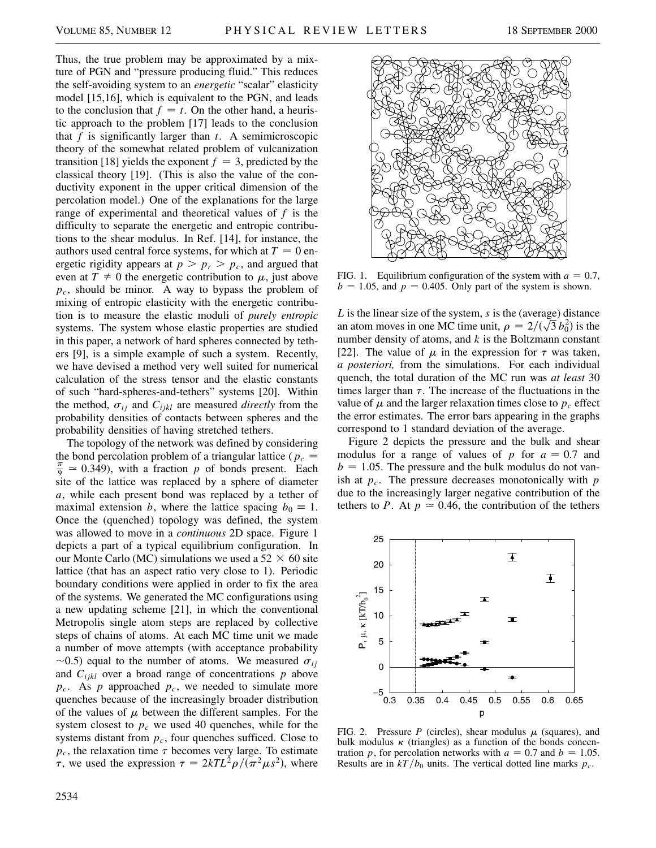Thus, the true problem may be approximated by a mixture of PGN and "pressure producing fluid." This reduces the self-avoiding system to an *energetic* "scalar" elasticity model [15,16], which is equivalent to the PGN, and leads to the conclusion that  $f = t$ . On the other hand, a heuristic approach to the problem [17] leads to the conclusion that *f* is significantly larger than *t*. A semimicroscopic theory of the somewhat related problem of vulcanization transition [18] yields the exponent  $f = 3$ , predicted by the classical theory [19]. (This is also the value of the conductivity exponent in the upper critical dimension of the percolation model.) One of the explanations for the large range of experimental and theoretical values of *f* is the difficulty to separate the energetic and entropic contributions to the shear modulus. In Ref. [14], for instance, the authors used central force systems, for which at  $T = 0$  energetic rigidity appears at  $p > p_r > p_c$ , and argued that even at  $T \neq 0$  the energetic contribution to  $\mu$ , just above *pc*, should be minor. A way to bypass the problem of mixing of entropic elasticity with the energetic contribution is to measure the elastic moduli of *purely entropic* systems. The system whose elastic properties are studied in this paper, a network of hard spheres connected by tethers [9], is a simple example of such a system. Recently, we have devised a method very well suited for numerical calculation of the stress tensor and the elastic constants of such "hard-spheres-and-tethers" systems [20]. Within the method,  $\sigma_{ij}$  and  $C_{ijkl}$  are measured *directly* from the probability densities of contacts between spheres and the probability densities of having stretched tethers.

The topology of the network was defined by considering the bond percolation problem of a triangular lattice ( $p_c$  =  $\frac{\pi}{9} \approx 0.349$ , with a fraction p of bonds present. Each site of the lattice was replaced by a sphere of diameter *a*, while each present bond was replaced by a tether of maximal extension *b*, where the lattice spacing  $b_0 \equiv 1$ . Once the (quenched) topology was defined, the system was allowed to move in a *continuous* 2D space. Figure 1 depicts a part of a typical equilibrium configuration. In our Monte Carlo (MC) simulations we used a  $52 \times 60$  site lattice (that has an aspect ratio very close to 1). Periodic boundary conditions were applied in order to fix the area of the systems. We generated the MC configurations using a new updating scheme [21], in which the conventional Metropolis single atom steps are replaced by collective steps of chains of atoms. At each MC time unit we made a number of move attempts (with acceptance probability  $\sim$ 0.5) equal to the number of atoms. We measured  $\sigma_{ij}$ and *Cijkl* over a broad range of concentrations *p* above  $p_c$ . As  $p$  approached  $p_c$ , we needed to simulate more quenches because of the increasingly broader distribution of the values of  $\mu$  between the different samples. For the system closest to  $p_c$  we used 40 quenches, while for the systems distant from  $p_c$ , four quenches sufficed. Close to  $p_c$ , the relaxation time  $\tau$  becomes very large. To estimate  $\tau$ , we used the expression  $\tau = 2kTL^2\rho/(\pi^2\mu s^2)$ , where



FIG. 1. Equilibrium configuration of the system with  $a = 0.7$ ,  $b = 1.05$ , and  $p = 0.405$ . Only part of the system is shown.

*L* is the linear size of the system, *s* is the (average) distance L is the linear size of the system, s is the (average) distance<br>an atom moves in one MC time unit,  $\rho = 2/(\sqrt{3} b_0^2)$  is the number density of atoms, and *k* is the Boltzmann constant [22]. The value of  $\mu$  in the expression for  $\tau$  was taken, *a posteriori,* from the simulations. For each individual quench, the total duration of the MC run was *at least* 30 times larger than  $\tau$ . The increase of the fluctuations in the value of  $\mu$  and the larger relaxation times close to  $p_c$  effect the error estimates. The error bars appearing in the graphs correspond to 1 standard deviation of the average.

Figure 2 depicts the pressure and the bulk and shear modulus for a range of values of  $p$  for  $a = 0.7$  and  $b = 1.05$ . The pressure and the bulk modulus do not vanish at *pc*. The pressure decreases monotonically with *p* due to the increasingly larger negative contribution of the tethers to *P*. At  $p \approx 0.46$ , the contribution of the tethers



FIG. 2. Pressure *P* (circles), shear modulus  $\mu$  (squares), and bulk modulus  $\kappa$  (triangles) as a function of the bonds concentration *p*, for percolation networks with  $a = 0.7$  and  $b = 1.05$ . Results are in  $kT/b_0$  units. The vertical dotted line marks  $p_c$ .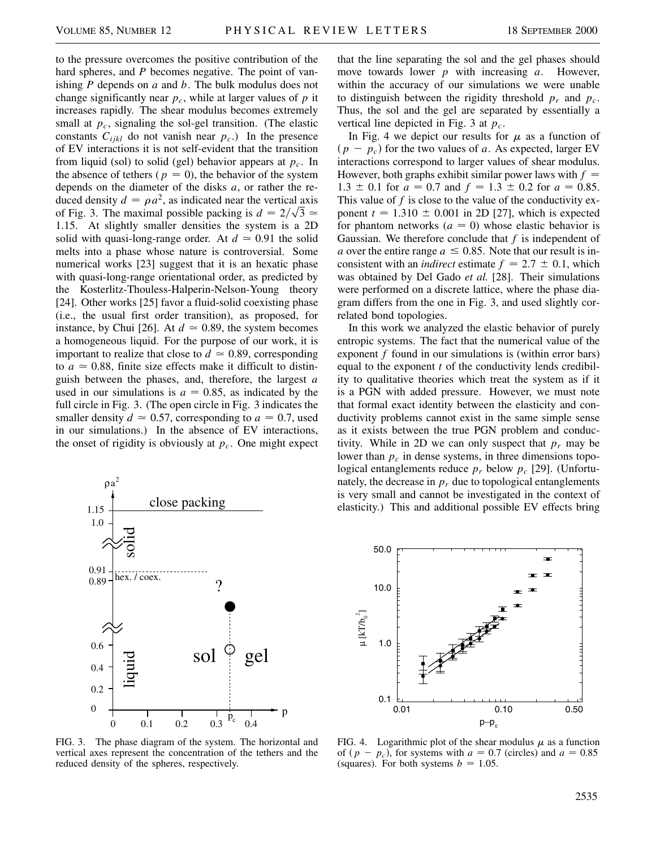to the pressure overcomes the positive contribution of the hard spheres, and *P* becomes negative. The point of vanishing *P* depends on *a* and *b*. The bulk modulus does not change significantly near  $p_c$ , while at larger values of  $p$  it increases rapidly. The shear modulus becomes extremely small at  $p_c$ , signaling the sol-gel transition. (The elastic constants  $C_{ijkl}$  do not vanish near  $p_c$ .) In the presence of EV interactions it is not self-evident that the transition from liquid (sol) to solid (gel) behavior appears at  $p_c$ . In the absence of tethers ( $p = 0$ ), the behavior of the system depends on the diameter of the disks *a*, or rather the reduced density  $d = \rho a^2$ , as indicated near the vertical axis of Fig. 3. The maximal possible packing is  $d = 2/\sqrt{3} \approx$ 1.15. At slightly smaller densities the system is a 2D solid with quasi-long-range order. At  $d \approx 0.91$  the solid melts into a phase whose nature is controversial. Some numerical works [23] suggest that it is an hexatic phase with quasi-long-range orientational order, as predicted by the Kosterlitz-Thouless-Halperin-Nelson-Young theory [24]. Other works [25] favor a fluid-solid coexisting phase (i.e., the usual first order transition), as proposed, for instance, by Chui [26]. At  $d \approx 0.89$ , the system becomes a homogeneous liquid. For the purpose of our work, it is important to realize that close to  $d \approx 0.89$ , corresponding to  $a \approx 0.88$ , finite size effects make it difficult to distinguish between the phases, and, therefore, the largest *a* used in our simulations is  $a = 0.85$ , as indicated by the full circle in Fig. 3. (The open circle in Fig. 3 indicates the smaller density  $d \approx 0.57$ , corresponding to  $a = 0.7$ , used in our simulations.) In the absence of EV interactions, the onset of rigidity is obviously at  $p_c$ . One might expect



FIG. 3. The phase diagram of the system. The horizontal and vertical axes represent the concentration of the tethers and the reduced density of the spheres, respectively.

that the line separating the sol and the gel phases should move towards lower *p* with increasing *a*. However, within the accuracy of our simulations we were unable to distinguish between the rigidity threshold  $p_r$  and  $p_c$ . Thus, the sol and the gel are separated by essentially a vertical line depicted in Fig. 3 at *pc*.

In Fig. 4 we depict our results for  $\mu$  as a function of  $(p - p_c)$  for the two values of *a*. As expected, larger EV interactions correspond to larger values of shear modulus. However, both graphs exhibit similar power laws with  $f =$  $1.3 \pm 0.1$  for  $a = 0.7$  and  $f = 1.3 \pm 0.2$  for  $a = 0.85$ . This value of f is close to the value of the conductivity exponent  $t = 1.310 \pm 0.001$  in 2D [27], which is expected for phantom networks  $(a = 0)$  whose elastic behavior is Gaussian. We therefore conclude that *f* is independent of *a* over the entire range  $a \leq 0.85$ . Note that our result is inconsistent with an *indirect* estimate  $f = 2.7 \pm 0.1$ , which was obtained by Del Gado *et al.* [28]. Their simulations were performed on a discrete lattice, where the phase diagram differs from the one in Fig. 3, and used slightly correlated bond topologies.

In this work we analyzed the elastic behavior of purely entropic systems. The fact that the numerical value of the exponent *f* found in our simulations is (within error bars) equal to the exponent *t* of the conductivity lends credibility to qualitative theories which treat the system as if it is a PGN with added pressure. However, we must note that formal exact identity between the elasticity and conductivity problems cannot exist in the same simple sense as it exists between the true PGN problem and conductivity. While in 2D we can only suspect that  $p_r$  may be lower than  $p_c$  in dense systems, in three dimensions topological entanglements reduce *pr* below *pc* [29]. (Unfortunately, the decrease in  $p_r$  due to topological entanglements is very small and cannot be investigated in the context of elasticity.) This and additional possible EV effects bring



FIG. 4. Logarithmic plot of the shear modulus  $\mu$  as a function of  $(p - p_c)$ , for systems with  $a = 0.7$  (circles) and  $a = 0.85$ (squares). For both systems  $b = 1.05$ .